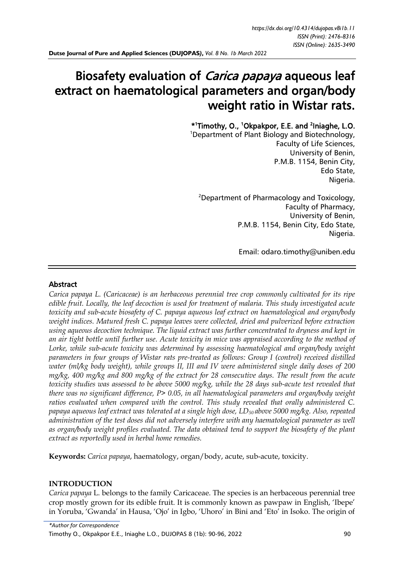# Biosafety evaluation of Carica papaya aqueous leaf extract on haematological parameters and organ/body weight ratio in Wistar rats.

\* 1 Timothy, O., <sup>1</sup>Okpakpor, E.E. and <sup>2</sup> Iniaghe, L.O.

<sup>1</sup>Department of Plant Biology and Biotechnology, Faculty of Life Sciences, University of Benin, P.M.B. 1154, Benin City, Edo State, Nigeria.

<sup>2</sup>Department of Pharmacology and Toxicology, Faculty of Pharmacy, University of Benin, P.M.B. 1154, Benin City, Edo State, Nigeria.

Email: [odaro.timothy@uniben.edu](mailto:odaro.timothy@uniben.edu)

#### Abstract

*Carica papaya L. (Caricaceae) is an herbaceous perennial tree crop commonly cultivated for its ripe edible fruit. Locally, the leaf decoction is used for treatment of malaria. This study investigated acute toxicity and sub-acute biosafety of C. papaya aqueous leaf extract on haematological and organ/body weight indices. Matured fresh C. papaya leaves were collected, dried and pulverized before extraction using aqueous decoction technique. The liquid extract was further concentrated to dryness and kept in an air tight bottle until further use. Acute toxicity in mice was appraised according to the method of Lorke, while sub-acute toxicity was determined by assessing haematological and organ/body weight parameters in four groups of Wistar rats pre-treated as follows: Group I (control) received distilled water (ml/kg body weight), while groups II, III and IV were administered single daily doses of 200 mg/kg, 400 mg/kg and 800 mg/kg of the extract for 28 consecutive days. The result from the acute toxicity studies was assessed to be above 5000 mg/kg, while the 28 days sub-acute test revealed that there was no significant difference, P> 0.05, in all haematological parameters and organ/body weight ratios evaluated when compared with the control. This study revealed that orally administered C. papaya aqueous leaf extract was tolerated at a single high dose, LD50 above 5000 mg/kg. Also, repeated*  administration of the test doses did not adversely interfere with any haematological parameter as well *as organ/body weight profiles evaluated. The data obtained tend to support the biosafety of the plant extract as reportedly used in herbal home remedies.*

**Keywords:** *Carica papaya*, haematology, organ/body, acute, sub-acute, toxicity.

#### **INTRODUCTION**

*Carica papaya* L*.* belongs to the family Caricaceae. The species is an herbaceous perennial tree crop mostly grown for its edible fruit. It is commonly known as pawpaw in English, 'Ibepe' in Yoruba, 'Gwanda' in Hausa, 'Ojo' in Igbo, 'Uhoro' in Bini and 'Eto' in Isoko. The origin of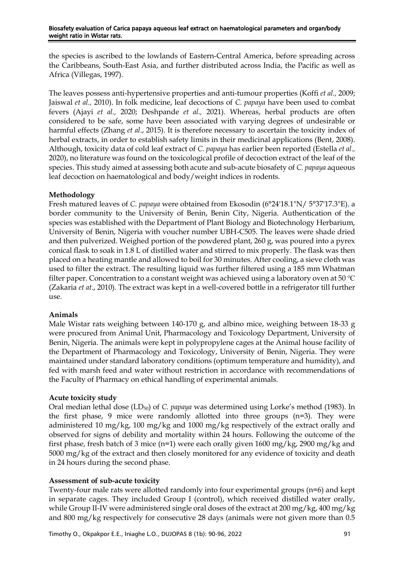the species is ascribed to the lowlands of Eastern-Central America, before spreading across the Caribbeans, South-East Asia, and further distributed across India, the Pacific as well as Africa (Villegas, 1997).

The leaves possess anti-hypertensive properties and anti-tumour properties (Koffi *et al.,* 2009; Jaiswal *et al.,* 2010). In folk medicine, leaf decoctions of *C. papaya* have been used to combat fevers (Ajayi *et al.,* 2020; Deshpande *et al.,* 2021). Whereas, herbal products are often considered to be safe, some have been associated with varying degrees of undesirable or harmful effects (Zhang *et al*., 2015). It is therefore necessary to ascertain the toxicity index of herbal extracts, in order to establish safety limits in their medicinal applications (Bent, 2008). Although, toxicity data of cold leaf extract of *C. papaya* has earlier been reported (Estella *et al.,*  2020), no literature was found on the toxicological profile of decoction extract of the leaf of the species. This study aimed at assessing both acute and sub-acute biosafety of *C. papaya* aqueous leaf decoction on haematological and body/weight indices in rodents.

# **Methodology**

Fresh matured leaves of *C. papaya* were obtained from Ekosodin (6°24'18.1"N/ 5°37'17.3"E), a border community to the University of Benin, Benin City, Nigeria. Authentication of the species was established with the Department of Plant Biology and Biotechnology Herbarium, University of Benin, Nigeria with voucher number UBH-C505. The leaves were shade dried and then pulverized. Weighed portion of the powdered plant, 260 g, was poured into a pyrex conical flask to soak in 1.8 L of distilled water and stirred to mix properly. The flask was then placed on a heating mantle and allowed to boil for 30 minutes. After cooling, a sieve cloth was used to filter the extract. The resulting liquid was further filtered using a 185 mm Whatman filter paper. Concentration to a constant weight was achieved using a laboratory oven at 50 ℃ (Zakaria *et at*., 2010). The extract was kept in a well-covered bottle in a refrigerator till further use.

# **Animals**

Male Wistar rats weighing between 140-170 g, and albino mice, weighing between 18-33 g were procured from Animal Unit, Pharmacology and Toxicology Department, University of Benin, Nigeria. The animals were kept in polypropylene cages at the Animal house facility of the Department of Pharmacology and Toxicology, University of Benin, Nigeria. They were maintained under standard laboratory conditions (optimum temperature and humidity), and fed with marsh feed and water without restriction in accordance with recommendations of the Faculty of Pharmacy on ethical handling of experimental animals.

# **Acute toxicity study**

Oral median lethal dose (LD<sub>50</sub>) of *C. papaya* was determined using Lorke's method (1983). In the first phase, 9 mice were randomly allotted into three groups (n=3). They were administered 10 mg/kg, 100 mg/kg and 1000 mg/kg respectively of the extract orally and observed for signs of debility and mortality within 24 hours. Following the outcome of the first phase, fresh batch of 3 mice (n=1) were each orally given 1600 mg/kg, 2900 mg/kg and 5000 mg/kg of the extract and then closely monitored for any evidence of toxicity and death in 24 hours during the second phase.

# **Assessment of sub-acute toxicity**

Twenty-four male rats were allotted randomly into four experimental groups (n=6) and kept in separate cages. They included Group I (control), which received distilled water orally, while Group II-IV were administered single oral doses of the extract at 200 mg/kg, 400 mg/kg and 800 mg/kg respectively for consecutive 28 days (animals were not given more than 0.5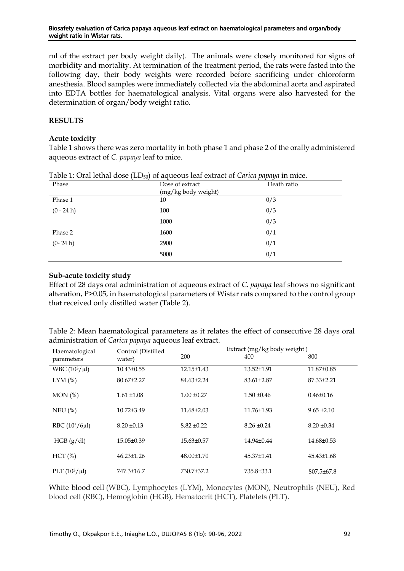ml of the extract per body weight daily). The animals were closely monitored for signs of morbidity and mortality. At termination of the treatment period, the rats were fasted into the following day, their body weights were recorded before sacrificing under chloroform anesthesia. Blood samples were immediately collected via the abdominal aorta and aspirated into EDTA bottles for haematological analysis. Vital organs were also harvested for the determination of organ/body weight ratio.

# **RESULTS**

# **Acute toxicity**

Table 1 shows there was zero mortality in both phase 1 and phase 2 of the orally administered aqueous extract of *C. papaya* leaf to mice.

| Phase        | Dose of extract<br>(mg/kg body weight) | Death ratio |  |
|--------------|----------------------------------------|-------------|--|
| Phase 1      | 10                                     | 0/3         |  |
| $(0 - 24 h)$ | 100                                    | 0/3         |  |
|              | 1000                                   | 0/3         |  |
| Phase 2      | 1600                                   | 0/1         |  |
| $(0-24 h)$   | 2900                                   | 0/1         |  |
|              | 5000                                   | 0/1         |  |

Table 1: Oral lethal dose (LD50) of aqueous leaf extract of *Carica papaya* in mice.

# **Sub-acute toxicity study**

Effect of 28 days oral administration of aqueous extract of *C. papaya* leaf shows no significant alteration, P>0.05, in haematological parameters of Wistar rats compared to the control group that received only distilled water (Table 2).

| Table 2: Mean haematological parameters as it relates the effect of consecutive 28 days oral |  |
|----------------------------------------------------------------------------------------------|--|
| administration of Carica papaya aqueous leaf extract.                                        |  |

| Haematological<br>parameters | Control (Distilled<br>water) | Extract (mg/kg body weight) |                 |                  |  |
|------------------------------|------------------------------|-----------------------------|-----------------|------------------|--|
|                              |                              | 200                         | 400             | 800              |  |
| WBC $(10^3/\mu l)$           | $10.43 \pm 0.55$             | 12.15±1.43                  | 13.52±1.91      | 11.87±0.85       |  |
| $LYM$ (%)                    | $80.67 \pm 2.27$             | $84.63 \pm 2.24$            | 83.61±2.87      | 87.33±2.21       |  |
| MON (%)                      | $1.61 \pm 1.08$              | $1.00 \pm 0.27$             | $1.50 \pm 0.46$ | $0.46 \pm 0.16$  |  |
| $NEU$ (%)                    | 10.72±3.49                   | 11.68±2.03                  | 11.76±1.93      | $9.65 \pm 2.10$  |  |
| RBC $(10^3/6\mu l)$          | $8.20 \pm 0.13$              | $8.82 \pm 0.22$             | $8.26 \pm 0.24$ | $8.20 \pm 0.34$  |  |
| HGB (g/dl)                   | 15.05±0.39                   | $15.63 \pm 0.57$            | 14.94±0.44      | 14.68±0.53       |  |
| HCT(%)                       | $46.23 \pm 1.26$             | 48.00±1.70                  | 45.37±1.41      | $45.43 \pm 1.68$ |  |
| PLT $(10^3/\mu l)$           | 747.3±16.7                   | 730.7±37.2                  | 735.8±33.1      | $807.5 \pm 67.8$ |  |

White blood cell (WBC), Lymphocytes (LYM), Monocytes (MON), Neutrophils (NEU), Red blood cell (RBC), Hemoglobin (HGB), Hematocrit (HCT), Platelets (PLT).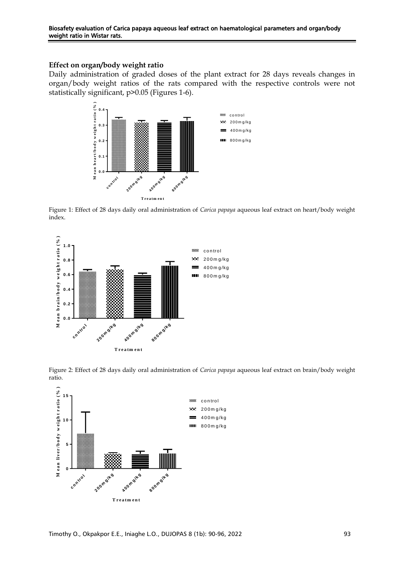#### **Effect on organ/body weight ratio**

Daily administration of graded doses of the plant extract for 28 days reveals changes in organ/body weight ratios of the rats compared with the respective controls were not statistically significant, p>0.05 (Figures 1-6).



Figure 1: Effect of 28 days daily oral administration of *Carica papaya* aqueous leaf extract on heart/body weight index.



Figure 2: Effect of 28 days daily oral administration of *Carica papaya* aqueous leaf extract on brain/body weight ratio.

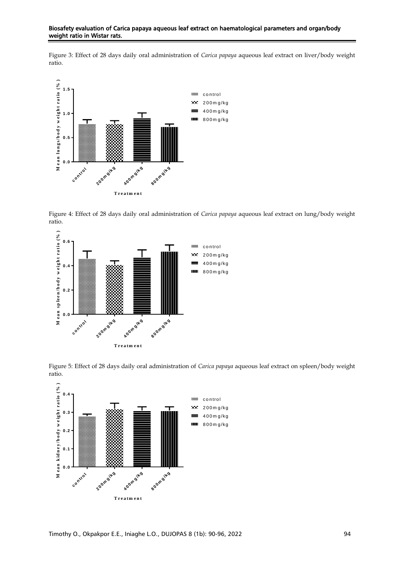#### Biosafety evaluation of Carica papaya aqueous leaf extract on haematological parameters and organ/body weight ratio in Wistar rats.

Figure 3: Effect of 28 days daily oral administration of *Carica papaya* aqueous leaf extract on liver/body weight ratio.



Figure 4: Effect of 28 days daily oral administration of *Carica papaya* aqueous leaf extract on lung/body weight ratio.



Figure 5: Effect of 28 days daily oral administration of *Carica papaya* aqueous leaf extract on spleen/body weight ratio.

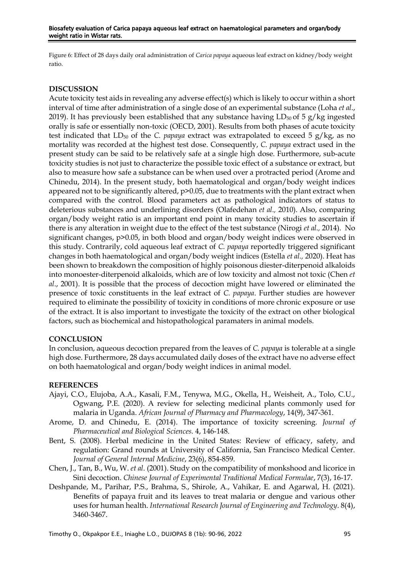Figure 6: Effect of 28 days daily oral administration of *Carica papaya* aqueous leaf extract on kidney/body weight ratio.

#### **DISCUSSION**

Acute toxicity test aids in revealing any adverse effect(s) which is likely to occur within a short interval of time after administration of a single dose of an experimental substance (Loha *et al*., 2019). It has previously been established that any substance having  $LD_{50}$  of 5 g/kg ingested orally is safe or essentially non-toxic (OECD, 2001). Results from both phases of acute toxicity test indicated that  $LD_{50}$  of the *C. papaya* extract was extrapolated to exceed 5  $g/kg$ , as no mortality was recorded at the highest test dose. Consequently, *C. papaya* extract used in the present study can be said to be relatively safe at a single high dose. Furthermore, sub-acute toxicity studies is not just to characterize the possible toxic effect of a substance or extract, but also to measure how safe a substance can be when used over a protracted period (Arome and Chinedu, 2014). In the present study, both haematological and organ/body weight indices appeared not to be significantly altered, p>0.05, due to treatments with the plant extract when compared with the control. Blood parameters act as pathological indicators of status to deleterious substances and underlining disorders (Olafedehan *et al.,* 2010). Also, comparing organ/body weight ratio is an important end point in many toxicity studies to ascertain if there is any alteration in weight due to the effect of the test substance (Nirogi *et al.,* 2014). No significant changes, p>0.05, in both blood and organ/body weight indices were observed in this study. Contrarily, cold aqueous leaf extract of *C. papaya* reportedly triggered significant changes in both haematological and organ/body weight indices (Estella *et al.,* 2020). Heat has been shown to breakdown the composition of highly poisonous diester-diterpenoid alkaloids into monoester-diterpenoid alkaloids, which are of low toxicity and almost not toxic (Chen *et al*., 2001). It is possible that the process of decoction might have lowered or eliminated the presence of toxic constituents in the leaf extract of *C. papaya*. Further studies are however required to eliminate the possibility of toxicity in conditions of more chronic exposure or use of the extract. It is also important to investigate the toxicity of the extract on other biological factors, such as biochemical and histopathological paramaters in animal models.

#### **CONCLUSION**

In conclusion, aqueous decoction prepared from the leaves of *C. papaya* is tolerable at a single high dose. Furthermore, 28 days accumulated daily doses of the extract have no adverse effect on both haematological and organ/body weight indices in animal model.

#### **REFERENCES**

- Ajayi, C.O., Elujoba, A.A., Kasali, F.M., Tenywa, M.G., Okella, H., Weisheit, A., Tolo, C.U., Ogwang, P.E. (2020). A review for selecting medicinal plants commonly used for malaria in Uganda. *African Journal of Pharmacy and Pharmacology*, 14(9), 347-361.
- Arome, D. and Chinedu, E. (2014). The importance of toxicity screening. *Journal of Pharmaceutical and Biological Sciences.* 4, 146-148.
- Bent, S. (2008). Herbal medicine in the United States: Review of efficacy, safety, and regulation: Grand rounds at University of California, San Francisco Medical Center. *Journal of General Internal Medicine*, 23(6), 854-859.
- Chen, J., Tan, B., Wu, W. *et al*. (2001). Study on the compatibility of monkshood and licorice in Sini decoction. *Chinese Journal of Experimental Traditional Medical Formulae*, 7(3), 16-17.
- Deshpande, M., Parihar, P.S., Brahma, S., Shirole, A., Vahikar, E. and Agarwal, H. (2021). Benefits of papaya fruit and its leaves to treat malaria or dengue and various other uses for human health. *International Research Journal of Engineering and Technology*. 8(4), 3460-3467.